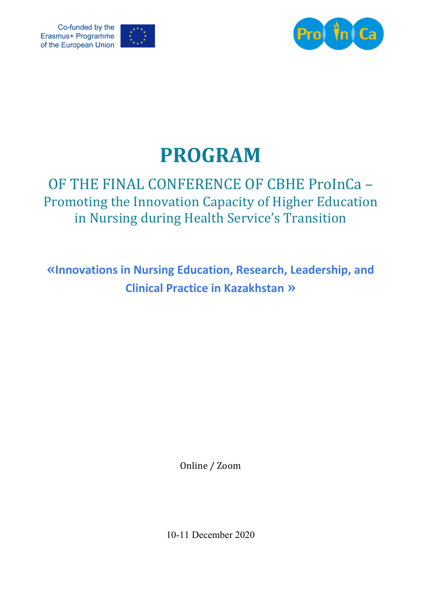





## **PROGRAM**

## OF THE FINAL CONFERENCE OF CBHE ProInCa -Promoting the Innovation Capacity of Higher Education in Nursing during Health Service's Transition

**«Innovations in Nursing Education, Research, Leadership, and Clinical Practice in Kazakhstan »**

Online / Zoom

10-11 December 2020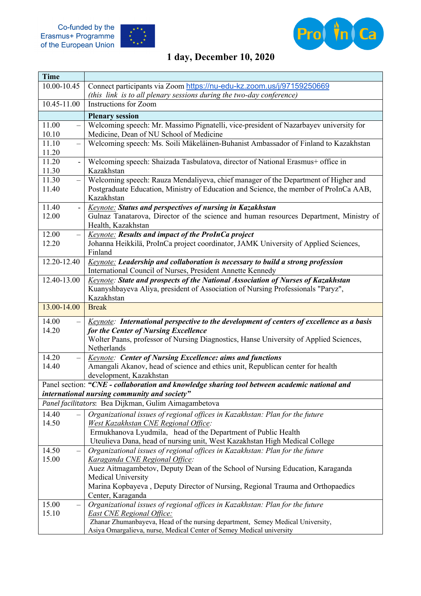Co-funded by the<br>Erasmus+ Programme<br>of the European Union





## **1 day, December 10, 2020**

| <b>Time</b>                                |                                                                                                                                                                                                                                                                     |
|--------------------------------------------|---------------------------------------------------------------------------------------------------------------------------------------------------------------------------------------------------------------------------------------------------------------------|
| 10.00-10.45                                | Connect participants via Zoom https://nu-edu-kz.zoom.us/j/97159250669                                                                                                                                                                                               |
|                                            | (this link is to all plenary sessions during the two-day conference)                                                                                                                                                                                                |
| 10.45-11.00                                | Instructions for Zoom                                                                                                                                                                                                                                               |
|                                            | <b>Plenary session</b>                                                                                                                                                                                                                                              |
| 11.00<br>$\overline{\phantom{0}}$<br>10.10 | Welcoming speech: Mr. Massimo Pignatelli, vice-president of Nazarbayev university for<br>Medicine, Dean of NU School of Medicine                                                                                                                                    |
| 11.10<br>$\qquad \qquad -$<br>11.20        | Welcoming speech: Ms. Soili Mäkeläinen-Buhanist Ambassador of Finland to Kazakhstan                                                                                                                                                                                 |
| 11.20<br>$\blacksquare$<br>11.30           | Welcoming speech: Shaizada Tasbulatova, director of National Erasmus+ office in<br>Kazakhstan                                                                                                                                                                       |
| 11.30<br>$\qquad \qquad -$<br>11.40        | Welcoming speech: Rauza Mendaliyeva, chief manager of the Department of Higher and<br>Postgraduate Education, Ministry of Education and Science, the member of ProInCa AAB,<br>Kazakhstan                                                                           |
| 11.40<br>$\overline{\phantom{a}}$<br>12.00 | <b>Keynote: Status and perspectives of nursing in Kazakhstan</b><br>Gulnaz Tanatarova, Director of the science and human resources Department, Ministry of<br>Health, Kazakhstan                                                                                    |
| 12.00<br>$\qquad \qquad -$<br>12.20        | <b>Keynote:</b> Results and impact of the ProInCa project<br>Johanna Heikkilä, ProInCa project coordinator, JAMK University of Applied Sciences,<br>Finland                                                                                                         |
| 12.20-12.40                                | <b>Keynote: Leadership and collaboration is necessary to build a strong profession</b><br>International Council of Nurses, President Annette Kennedy                                                                                                                |
| 12.40-13.00                                | Keynote: State and prospects of the National Association of Nurses of Kazakhstan<br>Kuanyshbayeva Aliya, president of Association of Nursing Professionals "Paryz",<br>Kazakhstan                                                                                   |
| 13.00-14.00                                | <b>Break</b>                                                                                                                                                                                                                                                        |
| 14.00                                      | <u>Keynote</u> : International perspective to the development of centers of excellence as a basis                                                                                                                                                                   |
| 14.20                                      | for the Center of Nursing Excellence<br>Wolter Paans, professor of Nursing Diagnostics, Hanse University of Applied Sciences,<br>Netherlands                                                                                                                        |
| 14.20<br>$\overline{\phantom{0}}$<br>14.40 | <b>Keynote: Center of Nursing Excellence: aims and functions</b><br>Amangali Akanov, head of science and ethics unit, Republican center for health<br>development, Kazakhstan                                                                                       |
|                                            | Panel section: "CNE - collaboration and knowledge sharing tool between academic national and                                                                                                                                                                        |
|                                            | international nursing community and society"                                                                                                                                                                                                                        |
|                                            | Panel facilitators: Bea Dijkman, Gulim Aimagambetova                                                                                                                                                                                                                |
| 14.40<br>14.50                             | Organizational issues of regional offices in Kazakhstan: Plan for the future<br>West Kazakhstan CNE Regional Office:<br>Ermukhanova Lyudmila, head of the Department of Public Health<br>Uteulieva Dana, head of nursing unit, West Kazakhstan High Medical College |
| 14.50                                      | Organizational issues of regional offices in Kazakhstan: Plan for the future                                                                                                                                                                                        |
| 15.00                                      | Karaganda CNE Regional Office:<br>Auez Aitmagambetov, Deputy Dean of the School of Nursing Education, Karaganda<br>Medical University<br>Marina Kopbayeva, Deputy Director of Nursing, Regional Trauma and Orthopaedics<br>Center, Karaganda                        |
| 15.00                                      | Organizational issues of regional offices in Kazakhstan: Plan for the future                                                                                                                                                                                        |
| 15.10                                      | East CNE Regional Office:<br>Zhanar Zhumanbayeva, Head of the nursing department, Semey Medical University,                                                                                                                                                         |
|                                            | Asiya Omargalieva, nurse, Medical Center of Semey Medical university                                                                                                                                                                                                |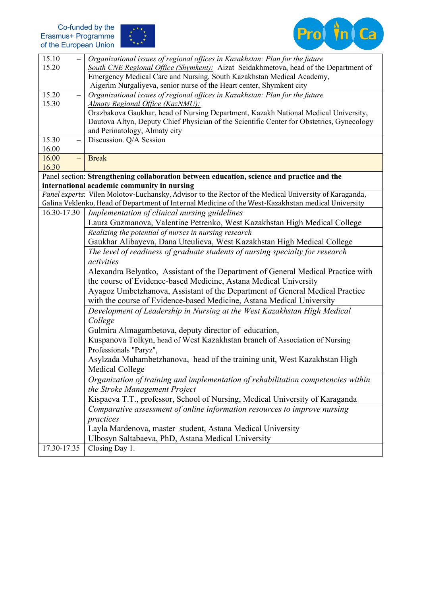



| 15.10                             | Organizational issues of regional offices in Kazakhstan: Plan for the future                                            |
|-----------------------------------|-------------------------------------------------------------------------------------------------------------------------|
| 15.20                             | South CNE Regional Office (Shymkent): Aizat Seidakhmetova, head of the Department of                                    |
|                                   | Emergency Medical Care and Nursing, South Kazakhstan Medical Academy,                                                   |
| 15.20                             | Aigerim Nurgaliyeva, senior nurse of the Heart center, Shymkent city                                                    |
| $\overline{\phantom{0}}$<br>15.30 | Organizational issues of regional offices in Kazakhstan: Plan for the future<br><b>Almaty Regional Office (KazNMU):</b> |
|                                   | Orazbakova Gaukhar, head of Nursing Department, Kazakh National Medical University,                                     |
|                                   | Dautova Altyn, Deputy Chief Physician of the Scientific Center for Obstetrics, Gynecology                               |
|                                   | and Perinatology, Almaty city                                                                                           |
| 15.30<br>$\overline{\phantom{0}}$ | Discussion. Q/A Session                                                                                                 |
| 16.00                             |                                                                                                                         |
| 16.00<br>$\overline{\phantom{0}}$ | <b>Break</b>                                                                                                            |
| 16.30                             |                                                                                                                         |
|                                   | Panel section: Strengthening collaboration between education, science and practice and the                              |
|                                   | international academic community in nursing                                                                             |
|                                   | Panel experts: Vilen Molotov-Luchansky, Advisor to the Rector of the Medical University of Karaganda,                   |
|                                   | Galina Veklenko, Head of Department of Internal Medicine of the West-Kazakhstan medical University                      |
| 16.30-17.30                       | Implementation of clinical nursing guidelines                                                                           |
|                                   | Laura Guzmanova, Valentine Petrenko, West Kazakhstan High Medical College                                               |
|                                   | Realizing the potential of nurses in nursing research                                                                   |
|                                   | Gaukhar Alibayeva, Dana Uteulieva, West Kazakhstan High Medical College                                                 |
|                                   | The level of readiness of graduate students of nursing specialty for research<br>activities                             |
|                                   | Alexandra Belyatko, Assistant of the Department of General Medical Practice with                                        |
|                                   | the course of Evidence-based Medicine, Astana Medical University                                                        |
|                                   | Ayagoz Umbetzhanova, Assistant of the Department of General Medical Practice                                            |
|                                   | with the course of Evidence-based Medicine, Astana Medical University                                                   |
|                                   | Development of Leadership in Nursing at the West Kazakhstan High Medical                                                |
|                                   | College                                                                                                                 |
|                                   | Gulmira Almagambetova, deputy director of education,                                                                    |
|                                   | Kuspanova Tolkyn, head of West Kazakhstan branch of Association of Nursing                                              |
|                                   | Professionals "Paryz",                                                                                                  |
|                                   | Asylzada Muhambetzhanova, head of the training unit, West Kazakhstan High                                               |
|                                   | Medical College                                                                                                         |
|                                   | Organization of training and implementation of rehabilitation competencies within                                       |
|                                   | the Stroke Management Project                                                                                           |
|                                   | Kispaeva T.T., professor, School of Nursing, Medical University of Karaganda                                            |
|                                   | Comparative assessment of online information resources to improve nursing                                               |
|                                   | practices                                                                                                               |
|                                   | Layla Mardenova, master student, Astana Medical University                                                              |
|                                   | Ulbosyn Saltabaeva, PhD, Astana Medical University                                                                      |
| 17.30-17.35                       | Closing Day 1.                                                                                                          |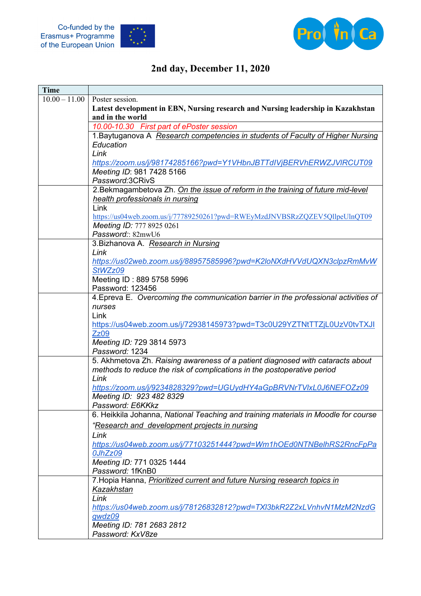





## **2nd day, December 11, 2020**

| <b>Time</b> |                                                                                     |
|-------------|-------------------------------------------------------------------------------------|
|             | $10.00 - 11.00$ Poster session.                                                     |
|             | Latest development in EBN, Nursing research and Nursing leadership in Kazakhstan    |
|             | and in the world                                                                    |
|             | 10.00-10.30 First part of ePoster session                                           |
|             | 1. Baytuganova A Research competencies in students of Faculty of Higher Nursing     |
|             | Education                                                                           |
|             | Link                                                                                |
|             | https://zoom.us/j/98174285166?pwd=Y1VHbnJBTTdIVjBERVhERWZJVIRCUT09                  |
|             | Meeting ID: 981 7428 5166                                                           |
|             | Password:3CRivS                                                                     |
|             | 2. Bekmagambetova Zh. On the issue of reform in the training of future mid-level    |
|             | health professionals in nursing                                                     |
|             | Link                                                                                |
|             | https://us04web.zoom.us/j/77789250261?pwd=RWEyMzdJNVBSRzZQZEV5QllpeUlnQT09          |
|             | Meeting ID: 777 8925 0261                                                           |
|             | Password: 82mwU6                                                                    |
|             | 3. Bizhanova A. Research in Nursing                                                 |
|             | Link                                                                                |
|             | https://us02web.zoom.us/j/88957585996?pwd=K2loNXdHVVdUQXN3clpzRmMvW                 |
|             | StWZz09                                                                             |
|             | Meeting ID: 889 5758 5996                                                           |
|             | Password: 123456                                                                    |
|             | 4. Epreva E. Overcoming the communication barrier in the professional activities of |
|             | nurses                                                                              |
|             | Link                                                                                |
|             | https://us04web.zoom.us/j/72938145973?pwd=T3c0U29YZTNtTTZjL0UzV0tvTXJI              |
|             | <b>Zz09</b>                                                                         |
|             | Meeting ID: 729 3814 5973                                                           |
|             | Password: 1234                                                                      |
|             | 5. Akhmetova Zh. Raising awareness of a patient diagnosed with cataracts about      |
|             | methods to reduce the risk of complications in the postoperative period             |
|             | Link                                                                                |
|             | https://zoom.us/j/9234828329?pwd=UGUydHY4aGpBRVNrTVIxL0J6NEFOZz09                   |
|             | Meeting ID: 923 482 8329                                                            |
|             | Password: E6KKkz                                                                    |
|             | 6. Heikkila Johanna, National Teaching and training materials in Moodle for course  |
|             | "Research and development projects in nursing                                       |
|             | Link                                                                                |
|             | https://us04web.zoom.us/j/77103251444?pwd=Wm1hOEd0NTNBelhRS2RncFpPa                 |
|             | 0JhZz09                                                                             |
|             | Meeting ID: 771 0325 1444                                                           |
|             | Password: 1fKnB0                                                                    |
|             | 7. Hopia Hanna, Prioritized current and future Nursing research topics in           |
|             | Kazakhstan                                                                          |
|             | Link                                                                                |
|             | https://us04web.zoom.us/j/78126832812?pwd=TXI3bkR2Z2xLVnhvN1MzM2NzdG                |
|             | gwdz09                                                                              |
|             | Meeting ID: 781 2683 2812                                                           |
|             | Password: KxV8ze                                                                    |
|             |                                                                                     |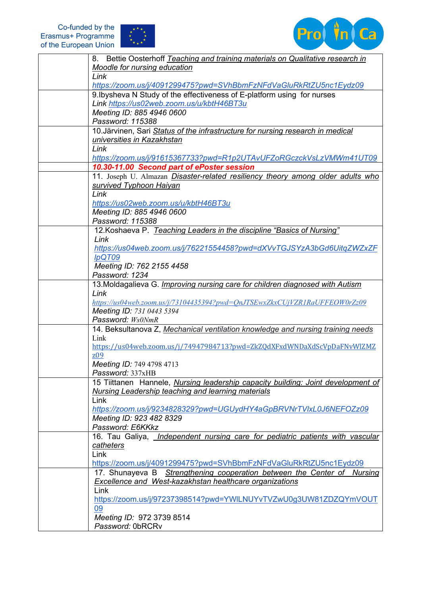



| Bettie Oosterhoff Teaching and training materials on Qualitative research in<br>8.                                                     |
|----------------------------------------------------------------------------------------------------------------------------------------|
| Moodle for nursing education                                                                                                           |
| Link                                                                                                                                   |
| https://zoom.us/j/4091299475?pwd=SVhBbmFzNFdVaGluRkRtZU5nc1Eydz09                                                                      |
| 9. Ibysheva N Study of the effectiveness of E-platform using for nurses                                                                |
| Link https://us02web.zoom.us/u/kbtH46BT3u                                                                                              |
| Meeting ID: 885 4946 0600                                                                                                              |
| Password: 115388                                                                                                                       |
| 10. Järvinen, Sari Status of the infrastructure for nursing research in medical                                                        |
| universities in Kazakhstan                                                                                                             |
| Link                                                                                                                                   |
| https://zoom.us/j/91615367733?pwd=R1p2UTAvUFZoRGczckVsLzVMWm41UT09                                                                     |
| 10.30-11.00 Second part of ePoster session                                                                                             |
| 11. Joseph U. Almazan Disaster-related resiliency theory among older adults who                                                        |
| survived Typhoon Haiyan                                                                                                                |
| Link                                                                                                                                   |
| https://us02web.zoom.us/u/kbtH46BT3u                                                                                                   |
| Meeting ID: 885 4946 0600                                                                                                              |
| Password: 115388                                                                                                                       |
| 12. Koshaeva P. Teaching Leaders in the discipline "Basics of Nursing"                                                                 |
| Link                                                                                                                                   |
| https://us04web.zoom.us/j/76221554458?pwd=dXVvTGJSYzA3bGd6UitqZWZxZF                                                                   |
| lpQT09                                                                                                                                 |
| Meeting ID: 762 2155 4458                                                                                                              |
| Password: 1234                                                                                                                         |
| 13. Moldagalieva G. <i>Improving nursing care for children diagnosed with Autism</i>                                                   |
| Link                                                                                                                                   |
| https://us04web.zoom.us/j/73104435394?pwd=OnJTSEwxZkxCUjVZR1RaUFFEOW0rZz09                                                             |
| Meeting ID: 731 0443 5394                                                                                                              |
| Password: Ws0NmR                                                                                                                       |
| 14. Beksultanova Z, Mechanical ventilation knowledge and nursing training needs                                                        |
| Link                                                                                                                                   |
| https://us04web.zoom.us/j/74947984713?pwd=ZkZQdXFxdWNDaXdScVpDaFNvWlZMZ                                                                |
| Z <sub>0</sub> 9                                                                                                                       |
| Meeting ID: 749 4798 4713                                                                                                              |
| Password: 337xHB                                                                                                                       |
| 15 Tiittanen Hannele, Nursing leadership capacity building: Joint development of<br>Nursing Leadership teaching and learning materials |
| Link                                                                                                                                   |
| https://zoom.us/j/9234828329?pwd=UGUydHY4aGpBRVNrTVIxL0J6NEFOZz09                                                                      |
| Meeting ID: 923 482 8329                                                                                                               |
| Password: E6KKkz                                                                                                                       |
| 16. Tau Galiya, <i>Independent nursing care for pediatric patients with vascular</i>                                                   |
| catheters                                                                                                                              |
| Link                                                                                                                                   |
| https://zoom.us/j/4091299475?pwd=SVhBbmFzNFdVaGluRkRtZU5nc1Eydz09                                                                      |
| 17. Shunayeva B Strengthening cooperation between the Center of Nursing                                                                |
| Excellence and West-kazakhstan healthcare organizations                                                                                |
| Link                                                                                                                                   |
| https://zoom.us/j/97237398514?pwd=YWILNUYvTVZwU0g3UW81ZDZQYmVOUT                                                                       |
| 09                                                                                                                                     |
| Meeting ID: 972 3739 8514                                                                                                              |
| Password: 0bRCRv                                                                                                                       |
|                                                                                                                                        |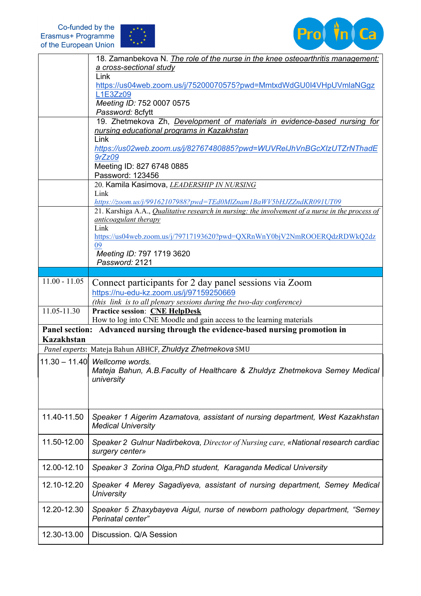



|                   | 18. Zamanbekova N. The role of the nurse in the knee osteoarthritis management:                  |
|-------------------|--------------------------------------------------------------------------------------------------|
|                   | a cross-sectional study<br>Link                                                                  |
|                   | https://us04web.zoom.us/j/75200070575?pwd=MmtxdWdGU0I4VHpUVmlaNGgz                               |
|                   | L1E3Zz09<br>Meeting ID: 752 0007 0575                                                            |
|                   | Password: 8cfytt                                                                                 |
|                   | 19. Zhetmekova Zh, Development of materials in evidence-based nursing for                        |
|                   | nursing educational programs in Kazakhstan                                                       |
|                   | Link                                                                                             |
|                   | https://us02web.zoom.us/j/82767480885?pwd=WUVReIJhVnBGcXIzUTZrNThadE<br>9rZz09                   |
|                   | Meeting ID: 827 6748 0885                                                                        |
|                   | Password: 123456                                                                                 |
|                   | 20. Kamila Kasimova, LEADERSHIP IN NURSING                                                       |
|                   | Link                                                                                             |
|                   | https://zoom.us/j/99162107988?pwd=TEd0MlZnam1BaWV5bHJZZndKR091UT09                               |
|                   | 21. Karshiga A.A., Qualitative research in nursing: the involvement of a nurse in the process of |
|                   | anticoagulant therapy                                                                            |
|                   | Link<br>https://us04web.zoom.us/j/79717193620?pwd=QXRnWnY0bjV2NmROOERQdzRDWkQ2dz                 |
|                   | 09                                                                                               |
|                   | Meeting ID: 797 1719 3620                                                                        |
|                   | Password: 2121                                                                                   |
|                   |                                                                                                  |
| $11.00 - 11.05$   | Connect participants for 2 day panel sessions via Zoom                                           |
|                   | https://nu-edu-kz.zoom.us/j/97159250669                                                          |
|                   | (this link is to all plenary sessions during the two-day conference)                             |
| 11.05-11.30       | <b>Practice session: CNE HelpDesk</b>                                                            |
|                   | How to log into CNE Moodle and gain access to the learning materials                             |
| <b>Kazakhstan</b> | Panel section: Advanced nursing through the evidence-based nursing promotion in                  |
|                   | Panel experts: Mateja Bahun ABHCF, Zhuldyz Zhetmekova SMU                                        |
|                   | 11.30 - 11.40 Wellcome words.                                                                    |
|                   | Mateja Bahun, A.B.Faculty of Healthcare & Zhuldyz Zhetmekova Semey Medical                       |
|                   | university                                                                                       |
|                   |                                                                                                  |
|                   |                                                                                                  |
|                   |                                                                                                  |
| 11.40-11.50       | Speaker 1 Aigerim Azamatova, assistant of nursing department, West Kazakhstan                    |
|                   | <b>Medical University</b>                                                                        |
| 11.50-12.00       |                                                                                                  |
|                   | Speaker 2 Gulnur Nadirbekova, Director of Nursing care, «National research cardiac               |
|                   | surgery center»                                                                                  |
| 12.00-12.10       | Speaker 3 Zorina Olga, PhD student, Karaganda Medical University                                 |
|                   |                                                                                                  |
| 12.10-12.20       | Speaker 4 Merey Sagadiyeva, assistant of nursing department, Semey Medical                       |
|                   | University                                                                                       |
| 12.20-12.30       | Speaker 5 Zhaxybayeva Aigul, nurse of newborn pathology department, "Semey                       |
|                   |                                                                                                  |
|                   |                                                                                                  |
|                   | Perinatal center"                                                                                |
| 12.30-13.00       | Discussion. Q/A Session                                                                          |